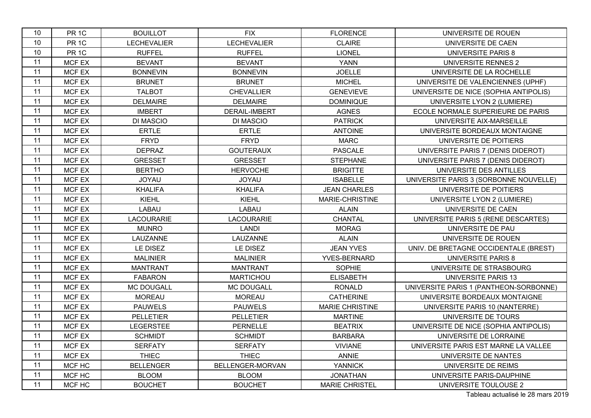| 10 | PR <sub>1C</sub> | <b>BOUILLOT</b>    | <b>FIX</b>         | <b>FLORENCE</b>        | UNIVERSITE DE ROUEN                    |
|----|------------------|--------------------|--------------------|------------------------|----------------------------------------|
| 10 | PR <sub>1C</sub> | <b>LECHEVALIER</b> | <b>LECHEVALIER</b> | <b>CLAIRE</b>          | UNIVERSITE DE CAEN                     |
| 10 | PR <sub>1C</sub> | <b>RUFFEL</b>      | <b>RUFFEL</b>      | <b>LIONEL</b>          | <b>UNIVERSITE PARIS 8</b>              |
| 11 | MCF EX           | <b>BEVANT</b>      | <b>BEVANT</b>      | <b>YANN</b>            | UNIVERSITE RENNES 2                    |
| 11 | MCF EX           | <b>BONNEVIN</b>    | <b>BONNEVIN</b>    | <b>JOELLE</b>          | UNIVERSITE DE LA ROCHELLE              |
| 11 | MCF EX           | <b>BRUNET</b>      | <b>BRUNET</b>      | <b>MICHEL</b>          | UNIVERSITE DE VALENCIENNES (UPHF)      |
| 11 | MCF EX           | <b>TALBOT</b>      | <b>CHEVALLIER</b>  | <b>GENEVIEVE</b>       | UNIVERSITE DE NICE (SOPHIA ANTIPOLIS)  |
| 11 | MCF EX           | <b>DELMAIRE</b>    | <b>DELMAIRE</b>    | <b>DOMINIQUE</b>       | UNIVERSITE LYON 2 (LUMIERE)            |
| 11 | MCF EX           | <b>IMBERT</b>      | DERAIL-IMBERT      | <b>AGNES</b>           | ECOLE NORMALE SUPERIEURE DE PARIS      |
| 11 | MCF EX           | <b>DI MASCIO</b>   | <b>DI MASCIO</b>   | <b>PATRICK</b>         | UNIVERSITE AIX-MARSEILLE               |
| 11 | MCF EX           | <b>ERTLE</b>       | <b>ERTLE</b>       | <b>ANTOINE</b>         | UNIVERSITE BORDEAUX MONTAIGNE          |
| 11 | MCF EX           | <b>FRYD</b>        | <b>FRYD</b>        | <b>MARC</b>            | UNIVERSITE DE POITIERS                 |
| 11 | MCF EX           | <b>DEPRAZ</b>      | <b>GOUTERAUX</b>   | <b>PASCALE</b>         | UNIVERSITE PARIS 7 (DENIS DIDEROT)     |
| 11 | MCF EX           | <b>GRESSET</b>     | <b>GRESSET</b>     | <b>STEPHANE</b>        | UNIVERSITE PARIS 7 (DENIS DIDEROT)     |
| 11 | MCF EX           | <b>BERTHO</b>      | <b>HERVOCHE</b>    | <b>BRIGITTE</b>        | UNIVERSITE DES ANTILLES                |
| 11 | <b>MCF EX</b>    | <b>JOYAU</b>       | <b>JOYAU</b>       | <b>ISABELLE</b>        | UNIVERSITE PARIS 3 (SORBONNE NOUVELLE) |
| 11 | <b>MCF EX</b>    | <b>KHALIFA</b>     | <b>KHALIFA</b>     | <b>JEAN CHARLES</b>    | UNIVERSITE DE POITIERS                 |
| 11 | MCF EX           | <b>KIEHL</b>       | <b>KIEHL</b>       | MARIE-CHRISTINE        | UNIVERSITE LYON 2 (LUMIERE)            |
| 11 | MCF EX           | LABAU              | LABAU              | <b>ALAIN</b>           | UNIVERSITE DE CAEN                     |
| 11 | MCF EX           | <b>LACOURARIE</b>  | <b>LACOURARIE</b>  | CHANTAL                | UNIVERSITE PARIS 5 (RENE DESCARTES)    |
| 11 | MCF EX           | <b>MUNRO</b>       | <b>LANDI</b>       | <b>MORAG</b>           | UNIVERSITE DE PAU                      |
| 11 | MCF EX           | LAUZANNE           | LAUZANNE           | <b>ALAIN</b>           | UNIVERSITE DE ROUEN                    |
| 11 | MCF EX           | LE DISEZ           | LE DISEZ           | <b>JEAN YVES</b>       | UNIV. DE BRETAGNE OCCIDENTALE (BREST)  |
| 11 | MCF EX           | <b>MALINIER</b>    | <b>MALINIER</b>    | YVES-BERNARD           | <b>UNIVERSITE PARIS 8</b>              |
| 11 | MCF EX           | <b>MANTRANT</b>    | <b>MANTRANT</b>    | SOPHIE                 | UNIVERSITE DE STRASBOURG               |
| 11 | MCF EX           | <b>FABARON</b>     | <b>MARTICHOU</b>   | <b>ELISABETH</b>       | <b>UNIVERSITE PARIS 13</b>             |
| 11 | MCF EX           | MC DOUGALL         | MC DOUGALL         | <b>RONALD</b>          | UNIVERSITE PARIS 1 (PANTHEON-SORBONNE) |
| 11 | MCF EX           | <b>MOREAU</b>      | <b>MOREAU</b>      | <b>CATHERINE</b>       | UNIVERSITE BORDEAUX MONTAIGNE          |
| 11 | MCF EX           | <b>PAUWELS</b>     | <b>PAUWELS</b>     | <b>MARIE CHRISTINE</b> | UNIVERSITE PARIS 10 (NANTERRE)         |
| 11 | MCF EX           | <b>PELLETIER</b>   | <b>PELLETIER</b>   | <b>MARTINE</b>         | UNIVERSITE DE TOURS                    |
| 11 | MCF EX           | <b>LEGERSTEE</b>   | <b>PERNELLE</b>    | <b>BEATRIX</b>         | UNIVERSITE DE NICE (SOPHIA ANTIPOLIS)  |
| 11 | MCF EX           | <b>SCHMIDT</b>     | <b>SCHMIDT</b>     | <b>BARBARA</b>         | UNIVERSITE DE LORRAINE                 |
| 11 | MCF EX           | <b>SERFATY</b>     | <b>SERFATY</b>     | <b>VIVIANE</b>         | UNIVERSITE PARIS EST MARNE LA VALLEE   |
| 11 | MCF EX           | <b>THIEC</b>       | <b>THIEC</b>       | ANNIE                  | UNIVERSITE DE NANTES                   |
| 11 | MCF HC           | <b>BELLENGER</b>   | BELLENGER-MORVAN   | <b>YANNICK</b>         | UNIVERSITE DE REIMS                    |
| 11 | MCF HC           | <b>BLOOM</b>       | <b>BLOOM</b>       | <b>JONATHAN</b>        | UNIVERSITE PARIS-DAUPHINE              |
| 11 | MCF HC           | <b>BOUCHET</b>     | <b>BOUCHET</b>     | <b>MARIE CHRISTEL</b>  | UNIVERSITE TOULOUSE 2                  |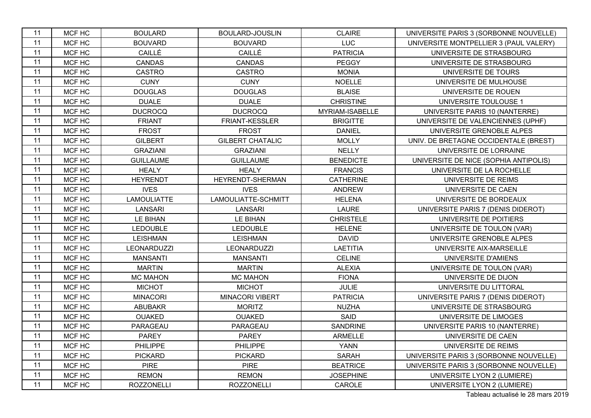| 11 | MCF HC | <b>BOULARD</b>     | <b>BOULARD-JOUSLIN</b>  | <b>CLAIRE</b>    | UNIVERSITE PARIS 3 (SORBONNE NOUVELLE) |
|----|--------|--------------------|-------------------------|------------------|----------------------------------------|
| 11 | MCF HC | <b>BOUVARD</b>     | <b>BOUVARD</b>          | <b>LUC</b>       | UNIVERSITE MONTPELLIER 3 (PAUL VALERY) |
| 11 | MCF HC | CAILLÉ             | CAILLÉ                  | <b>PATRICIA</b>  | UNIVERSITE DE STRASBOURG               |
| 11 | MCF HC | <b>CANDAS</b>      | <b>CANDAS</b>           | <b>PEGGY</b>     | UNIVERSITE DE STRASBOURG               |
| 11 | MCF HC | <b>CASTRO</b>      | <b>CASTRO</b>           | <b>MONIA</b>     | UNIVERSITE DE TOURS                    |
| 11 | MCF HC | <b>CUNY</b>        | <b>CUNY</b>             | <b>NOELLE</b>    | UNIVERSITE DE MULHOUSE                 |
| 11 | MCF HC | <b>DOUGLAS</b>     | <b>DOUGLAS</b>          | <b>BLAISE</b>    | UNIVERSITE DE ROUEN                    |
| 11 | MCF HC | <b>DUALE</b>       | <b>DUALE</b>            | <b>CHRISTINE</b> | UNIVERSITE TOULOUSE 1                  |
| 11 | MCF HC | <b>DUCROCQ</b>     | <b>DUCROCQ</b>          | MYRIAM-ISABELLE  | UNIVERSITE PARIS 10 (NANTERRE)         |
| 11 | MCF HC | <b>FRIANT</b>      | FRIANT-KESSLER          | <b>BRIGITTE</b>  | UNIVERSITE DE VALENCIENNES (UPHF)      |
| 11 | MCF HC | <b>FROST</b>       | <b>FROST</b>            | <b>DANIEL</b>    | UNIVERSITE GRENOBLE ALPES              |
| 11 | MCF HC | <b>GILBERT</b>     | <b>GILBERT CHATALIC</b> | <b>MOLLY</b>     | UNIV. DE BRETAGNE OCCIDENTALE (BREST)  |
| 11 | MCF HC | <b>GRAZIANI</b>    | <b>GRAZIANI</b>         | <b>NELLY</b>     | UNIVERSITE DE LORRAINE                 |
| 11 | MCF HC | <b>GUILLAUME</b>   | <b>GUILLAUME</b>        | <b>BENEDICTE</b> | UNIVERSITE DE NICE (SOPHIA ANTIPOLIS)  |
| 11 | MCF HC | <b>HEALY</b>       | <b>HEALY</b>            | <b>FRANCIS</b>   | UNIVERSITE DE LA ROCHELLE              |
| 11 | MCF HC | <b>HEYRENDT</b>    | HEYRENDT-SHERMAN        | <b>CATHERINE</b> | UNIVERSITE DE REIMS                    |
| 11 | MCF HC | <b>IVES</b>        | <b>IVES</b>             | <b>ANDREW</b>    | UNIVERSITE DE CAEN                     |
| 11 | MCF HC | <b>LAMOULIATTE</b> | LAMOULIATTE-SCHMITT     | <b>HELENA</b>    | UNIVERSITE DE BORDEAUX                 |
| 11 | MCF HC | <b>LANSARI</b>     | <b>LANSARI</b>          | <b>LAURE</b>     | UNIVERSITE PARIS 7 (DENIS DIDEROT)     |
| 11 | MCF HC | LE BIHAN           | LE BIHAN                | <b>CHRISTELE</b> | UNIVERSITE DE POITIERS                 |
| 11 | MCF HC | <b>LEDOUBLE</b>    | <b>LEDOUBLE</b>         | <b>HELENE</b>    | UNIVERSITE DE TOULON (VAR)             |
| 11 | MCF HC | <b>LEISHMAN</b>    | <b>LEISHMAN</b>         | <b>DAVID</b>     | UNIVERSITE GRENOBLE ALPES              |
| 11 | MCF HC | LEONARDUZZI        | <b>LEONARDUZZI</b>      | <b>LAETITIA</b>  | UNIVERSITE AIX-MARSEILLE               |
| 11 | MCF HC | <b>MANSANTI</b>    | <b>MANSANTI</b>         | <b>CELINE</b>    | UNIVERSITE D'AMIENS                    |
| 11 | MCF HC | <b>MARTIN</b>      | <b>MARTIN</b>           | <b>ALEXIA</b>    | UNIVERSITE DE TOULON (VAR)             |
| 11 | MCF HC | <b>MC MAHON</b>    | <b>MC MAHON</b>         | <b>FIONA</b>     | UNIVERSITE DE DIJON                    |
| 11 | MCF HC | <b>MICHOT</b>      | <b>MICHOT</b>           | <b>JULIE</b>     | UNIVERSITE DU LITTORAL                 |
| 11 | MCF HC | <b>MINACORI</b>    | <b>MINACORI VIBERT</b>  | <b>PATRICIA</b>  | UNIVERSITE PARIS 7 (DENIS DIDEROT)     |
| 11 | MCF HC | <b>ABUBAKR</b>     | <b>MORITZ</b>           | <b>NUZHA</b>     | UNIVERSITE DE STRASBOURG               |
| 11 | MCF HC | <b>OUAKED</b>      | <b>OUAKED</b>           | SAID             | UNIVERSITE DE LIMOGES                  |
| 11 | MCF HC | PARAGEAU           | PARAGEAU                | <b>SANDRINE</b>  | UNIVERSITE PARIS 10 (NANTERRE)         |
| 11 | MCF HC | <b>PAREY</b>       | <b>PAREY</b>            | <b>ARMELLE</b>   | UNIVERSITE DE CAEN                     |
| 11 | MCF HC | <b>PHILIPPE</b>    | PHILIPPE                | <b>YANN</b>      | UNIVERSITE DE REIMS                    |
| 11 | MCF HC | <b>PICKARD</b>     | <b>PICKARD</b>          | <b>SARAH</b>     | UNIVERSITE PARIS 3 (SORBONNE NOUVELLE) |
| 11 | MCF HC | <b>PIRE</b>        | <b>PIRE</b>             | <b>BEATRICE</b>  | UNIVERSITE PARIS 3 (SORBONNE NOUVELLE) |
| 11 | MCF HC | <b>REMON</b>       | <b>REMON</b>            | <b>JOSEPHINE</b> | UNIVERSITE LYON 2 (LUMIERE)            |
| 11 | MCF HC | <b>ROZZONELLI</b>  | <b>ROZZONELLI</b>       | CAROLE           | UNIVERSITE LYON 2 (LUMIERE)            |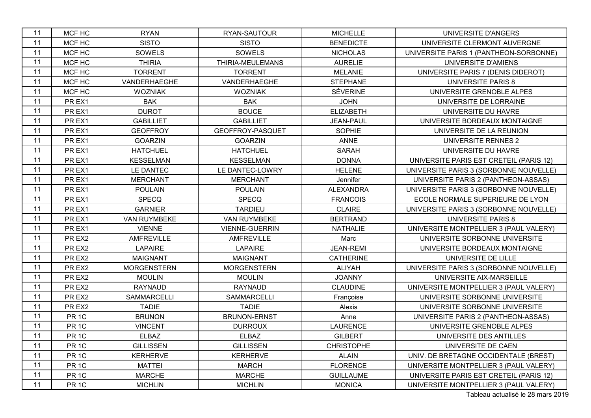| 11 | MCF HC           | <b>RYAN</b>        | RYAN-SAUTOUR          | <b>MICHELLE</b>   | UNIVERSITE D'ANGERS                     |
|----|------------------|--------------------|-----------------------|-------------------|-----------------------------------------|
| 11 | MCF HC           | <b>SISTO</b>       | <b>SISTO</b>          | <b>BENEDICTE</b>  | UNIVERSITE CLERMONT AUVERGNE            |
| 11 | MCF HC           | SOWELS             | SOWELS                | <b>NICHOLAS</b>   | UNIVERSITE PARIS 1 (PANTHEON-SORBONNE)  |
| 11 | MCF HC           | <b>THIRIA</b>      | THIRIA-MEULEMANS      | <b>AURELIE</b>    | UNIVERSITE D'AMIENS                     |
| 11 | MCF HC           | <b>TORRENT</b>     | <b>TORRENT</b>        | <b>MELANIE</b>    | UNIVERSITE PARIS 7 (DENIS DIDEROT)      |
| 11 | MCF HC           | VANDERHAEGHE       | VANDERHAEGHE          | <b>STEPHANE</b>   | <b>UNIVERSITE PARIS 8</b>               |
| 11 | MCF HC           | <b>WOZNIAK</b>     | <b>WOZNIAK</b>        | <b>SÉVERINE</b>   | UNIVERSITE GRENOBLE ALPES               |
| 11 | PR EX1           | <b>BAK</b>         | <b>BAK</b>            | <b>JOHN</b>       | UNIVERSITE DE LORRAINE                  |
| 11 | PR EX1           | <b>DUROT</b>       | <b>BOUCE</b>          | <b>ELIZABETH</b>  | UNIVERSITE DU HAVRE                     |
| 11 | PR EX1           | <b>GABILLIET</b>   | <b>GABILLIET</b>      | JEAN-PAUL         | UNIVERSITE BORDEAUX MONTAIGNE           |
| 11 | PR EX1           | <b>GEOFFROY</b>    | GEOFFROY-PASQUET      | <b>SOPHIE</b>     | UNIVERSITE DE LA REUNION                |
| 11 | PR EX1           | <b>GOARZIN</b>     | <b>GOARZIN</b>        | <b>ANNE</b>       | UNIVERSITE RENNES 2                     |
| 11 | PR EX1           | <b>HATCHUEL</b>    | <b>HATCHUEL</b>       | <b>SARAH</b>      | UNIVERSITE DU HAVRE                     |
| 11 | PR EX1           | <b>KESSELMAN</b>   | <b>KESSELMAN</b>      | <b>DONNA</b>      | UNIVERSITE PARIS EST CRETEIL (PARIS 12) |
| 11 | PR EX1           | LE DANTEC          | LE DANTEC-LOWRY       | <b>HELENE</b>     | UNIVERSITE PARIS 3 (SORBONNE NOUVELLE)  |
| 11 | PR EX1           | <b>MERCHANT</b>    | <b>MERCHANT</b>       | Jennifer          | UNIVERSITE PARIS 2 (PANTHEON-ASSAS)     |
| 11 | PR EX1           | <b>POULAIN</b>     | <b>POULAIN</b>        | <b>ALEXANDRA</b>  | UNIVERSITE PARIS 3 (SORBONNE NOUVELLE)  |
| 11 | PR EX1           | SPECQ              | <b>SPECQ</b>          | <b>FRANCOIS</b>   | ECOLE NORMALE SUPERIEURE DE LYON        |
| 11 | PR EX1           | <b>GARNIER</b>     | <b>TARDIEU</b>        | <b>CLAIRE</b>     | UNIVERSITE PARIS 3 (SORBONNE NOUVELLE)  |
| 11 | PR EX1           | VAN RUYMBEKE       | VAN RUYMBEKE          | <b>BERTRAND</b>   | <b>UNIVERSITE PARIS 8</b>               |
| 11 | PR EX1           | <b>VIENNE</b>      | <b>VIENNE-GUERRIN</b> | <b>NATHALIE</b>   | UNIVERSITE MONTPELLIER 3 (PAUL VALERY)  |
| 11 | PR EX2           | <b>AMFREVILLE</b>  | <b>AMFREVILLE</b>     | Marc              | UNIVERSITE SORBONNE UNIVERSITE          |
| 11 | PR EX2           | <b>LAPAIRE</b>     | <b>LAPAIRE</b>        | <b>JEAN-REMI</b>  | UNIVERSITE BORDEAUX MONTAIGNE           |
| 11 | PR EX2           | <b>MAIGNANT</b>    | <b>MAIGNANT</b>       | <b>CATHERINE</b>  | UNIVERSITE DE LILLE                     |
| 11 | PR EX2           | <b>MORGENSTERN</b> | <b>MORGENSTERN</b>    | <b>ALIYAH</b>     | UNIVERSITE PARIS 3 (SORBONNE NOUVELLE)  |
| 11 | PR EX2           | <b>MOULIN</b>      | <b>MOULIN</b>         | <b>JOANNY</b>     | UNIVERSITE AIX-MARSEILLE                |
| 11 | PR EX2           | <b>RAYNAUD</b>     | <b>RAYNAUD</b>        | <b>CLAUDINE</b>   | UNIVERSITE MONTPELLIER 3 (PAUL VALERY)  |
| 11 | PR EX2           | SAMMARCELLI        | <b>SAMMARCELLI</b>    | Françoise         | UNIVERSITE SORBONNE UNIVERSITE          |
| 11 | PR EX2           | <b>TADIE</b>       | <b>TADIE</b>          | Alexis            | UNIVERSITE SORBONNE UNIVERSITE          |
| 11 | PR <sub>1C</sub> | <b>BRUNON</b>      | <b>BRUNON-ERNST</b>   | Anne              | UNIVERSITE PARIS 2 (PANTHEON-ASSAS)     |
| 11 | PR <sub>1C</sub> | <b>VINCENT</b>     | <b>DURROUX</b>        | <b>LAURENCE</b>   | UNIVERSITE GRENOBLE ALPES               |
| 11 | PR <sub>1C</sub> | <b>ELBAZ</b>       | <b>ELBAZ</b>          | <b>GILBERT</b>    | UNIVERSITE DES ANTILLES                 |
| 11 | PR <sub>1C</sub> | <b>GILLISSEN</b>   | <b>GILLISSEN</b>      | <b>CHRISTOPHE</b> | UNIVERSITE DE CAEN                      |
| 11 | PR <sub>1C</sub> | <b>KERHERVE</b>    | <b>KERHERVE</b>       | <b>ALAIN</b>      | UNIV. DE BRETAGNE OCCIDENTALE (BREST)   |
| 11 | PR <sub>1C</sub> | <b>MATTEI</b>      | <b>MARCH</b>          | <b>FLORENCE</b>   | UNIVERSITE MONTPELLIER 3 (PAUL VALERY)  |
| 11 | PR <sub>1C</sub> | <b>MARCHE</b>      | <b>MARCHE</b>         | <b>GUILLAUME</b>  | UNIVERSITE PARIS EST CRETEIL (PARIS 12) |
| 11 | PR <sub>1C</sub> | <b>MICHLIN</b>     | <b>MICHLIN</b>        | <b>MONICA</b>     | UNIVERSITE MONTPELLIER 3 (PAUL VALERY)  |